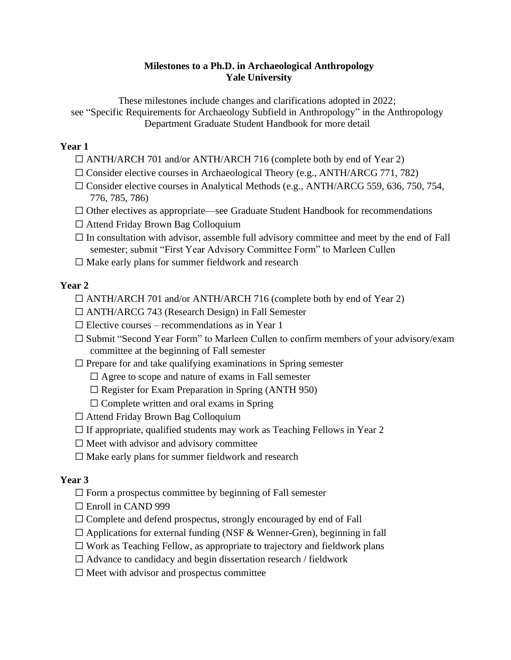### **Milestones to a Ph.D. in Archaeological Anthropology Yale University**

These milestones include changes and clarifications adopted in 2022; see "Specific Requirements for Archaeology Subfield in Anthropology" in the Anthropology Department Graduate Student Handbook for more detail

### **Year 1**

- ☐ ANTH/ARCH 701 and/or ANTH/ARCH 716 (complete both by end of Year 2)
- ☐ Consider elective courses in Archaeological Theory (e.g., ANTH/ARCG 771, 782)
- ☐ Consider elective courses in Analytical Methods (e.g., ANTH/ARCG 559, 636, 750, 754, 776, 785, 786)
- $\Box$  Other electives as appropriate—see Graduate Student Handbook for recommendations
- ☐ Attend Friday Brown Bag Colloquium
- $\Box$  In consultation with advisor, assemble full advisory committee and meet by the end of Fall semester; submit "First Year Advisory Committee Form" to Marleen Cullen
- $\Box$  Make early plans for summer fieldwork and research

# **Year 2**

- ☐ ANTH/ARCH 701 and/or ANTH/ARCH 716 (complete both by end of Year 2)
- $\Box$  ANTH/ARCG 743 (Research Design) in Fall Semester
- $\Box$  Elective courses recommendations as in Year 1
- ☐ Submit "Second Year Form" to Marleen Cullen to confirm members of your advisory/exam committee at the beginning of Fall semester
- $\Box$  Prepare for and take qualifying examinations in Spring semester
	- $\Box$  Agree to scope and nature of exams in Fall semester
	- $\Box$  Register for Exam Preparation in Spring (ANTH 950)
	- $\Box$  Complete written and oral exams in Spring
- ☐ Attend Friday Brown Bag Colloquium
- $\Box$  If appropriate, qualified students may work as Teaching Fellows in Year 2
- $\Box$  Meet with advisor and advisory committee
- $\Box$  Make early plans for summer fieldwork and research

# **Year 3**

- $\Box$  Form a prospectus committee by beginning of Fall semester
- ☐ Enroll in CAND 999
- $\Box$  Complete and defend prospectus, strongly encouraged by end of Fall
- $\Box$  Applications for external funding (NSF & Wenner-Gren), beginning in fall
- $\Box$  Work as Teaching Fellow, as appropriate to trajectory and fieldwork plans
- $\Box$  Advance to candidacy and begin dissertation research / fieldwork
- $\Box$  Meet with advisor and prospectus committee